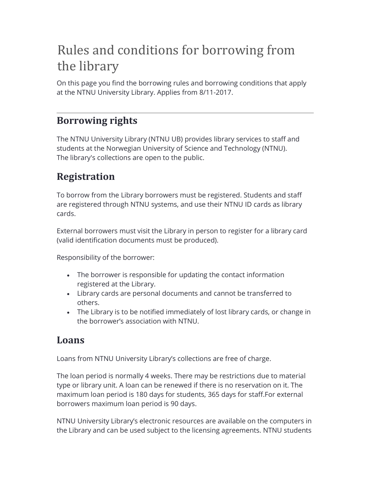# Rules and conditions for borrowing from the library

On this page you find the borrowing rules and borrowing conditions that apply at the NTNU University Library. Applies from 8/11-2017.

## Borrowing rights

The NTNU University Library (NTNU UB) provides library services to staff and students at the Norwegian University of Science and Technology (NTNU). The library's collections are open to the public.

# Registration

To borrow from the Library borrowers must be registered. Students and staff are registered through NTNU systems, and use their NTNU ID cards as library cards.

External borrowers must visit the Library in person to register for a library card (valid identification documents must be produced).

Responsibility of the borrower:

- The borrower is responsible for updating the contact information registered at the Library.
- Library cards are personal documents and cannot be transferred to others.
- The Library is to be notified immediately of lost library cards, or change in the borrower's association with NTNU.

### Loans

Loans from NTNU University Library's collections are free of charge.

The loan period is normally 4 weeks. There may be restrictions due to material type or library unit. A loan can be renewed if there is no reservation on it. The maximum loan period is 180 days for students, 365 days for staff.For external borrowers maximum loan period is 90 days.

NTNU University Library's electronic resources are available on the computers in the Library and can be used subject to the licensing agreements. NTNU students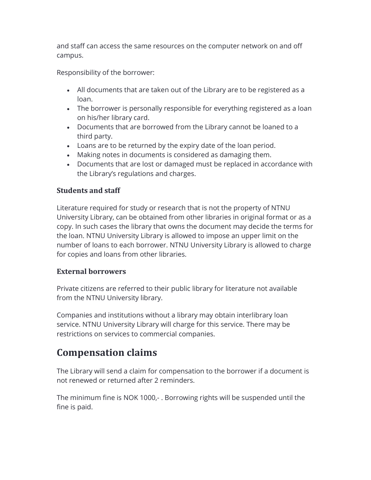and staff can access the same resources on the computer network on and off campus.

Responsibility of the borrower:

- All documents that are taken out of the Library are to be registered as a loan.
- The borrower is personally responsible for everything registered as a loan on his/her library card.
- Documents that are borrowed from the Library cannot be loaned to a third party.
- Loans are to be returned by the expiry date of the loan period.
- Making notes in documents is considered as damaging them.
- Documents that are lost or damaged must be replaced in accordance with the Library's regulations and charges.

#### Students and staff

Literature required for study or research that is not the property of NTNU University Library, can be obtained from other libraries in original format or as a copy. In such cases the library that owns the document may decide the terms for the loan. NTNU University Library is allowed to impose an upper limit on the number of loans to each borrower. NTNU University Library is allowed to charge for copies and loans from other libraries.

#### External borrowers

Private citizens are referred to their public library for literature not available from the NTNU University library.

Companies and institutions without a library may obtain interlibrary loan service. NTNU University Library will charge for this service. There may be restrictions on services to commercial companies.

### Compensation claims

The Library will send a claim for compensation to the borrower if a document is not renewed or returned after 2 reminders.

The minimum fine is NOK 1000,- . Borrowing rights will be suspended until the fine is paid.